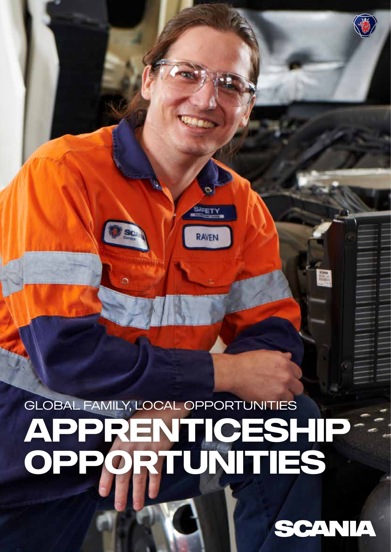## Global Family, Local Opportunities **Apprenticeship Opportunities**

**SIFETY** 

RAVEN

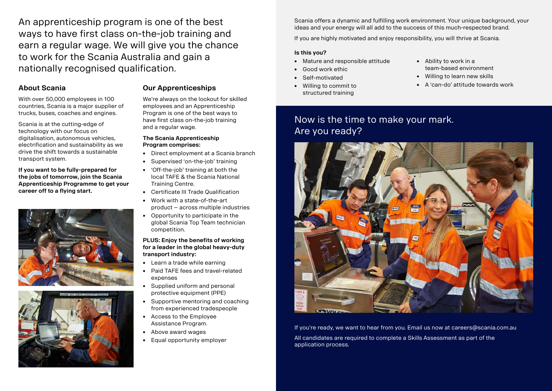An apprenticeship program is one of the best ways to have first class on-the-job training and earn a regular wage. We will give you the chance to work for the Scania Australia and gain a nationally recognised qualification.

### **About Scania**

With over 50,000 employees in 100 countries, Scania is a major supplier of trucks, buses, coaches and engines.

Scania is at the cutting-edge of technology with our focus on digitalisation, autonomous vehicles, electrification and sustainability as we drive the shift towards a sustainable transport system.

**If you want to be fully-prepared for the jobs of tomorrow, join the Scania Apprenticeship Programme to get your career off to a flying start.**





#### **Our Apprenticeships**

We're always on the lookout for skilled employees and an Apprenticeship Program is one of the best ways to have first class on-the-job training and a regular wage.

#### **The Scania Apprenticeship Program comprises:**

- Direct employment at a Scania branch
- Supervised 'on-the-job' training
- 'Off-the-job' training at both the local TAFE & the Scania National Training Centre.
- Certificate III Trade Qualification
- Work with a state-of-the-art product – across multiple industries
- Opportunity to participate in the global Scania Top Team technician competition.

#### **PLUS: Enjoy the benefits of working for a leader in the global heavy-duty transport industry:**

- Learn a trade while earning
- Paid TAFE fees and travel-related expenses
- Supplied uniform and personal protective equipment (PPE)
- Supportive mentoring and coaching from experienced tradespeople
- Access to the Employee Assistance Program.
- Above award wages
- Equal opportunity employer

Scania offers a dynamic and fulfilling work environment. Your unique background, your ideas and your energy will all add to the success of this much-respected brand.

If you are highly motivated and enjoy responsibility, you will thrive at Scania.

#### **Is this you?**

- Mature and responsible attitude
- Good work ethic

• Self-motivated

• Willing to commit to structured training

- Ability to work in a team-based environment
- Willing to learn new skills
- A 'can-do' attitude towards work

If you're ready, we want to hear from you. Email us now at careers@scania.com.au All candidates are required to complete a Skills Assessment as part of the

application process.

### Now is the time to make your mark. Are you ready?